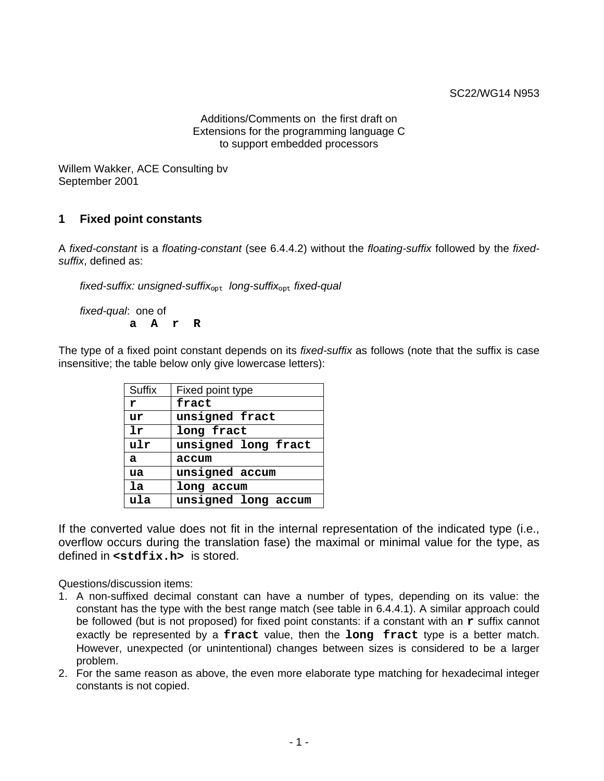Additions/Comments on the first draft on Extensions for the programming language C to support embedded processors

Willem Wakker, ACE Consulting bv September 2001

# **1 Fixed point constants**

A fixed-constant is a floating-constant (see 6.4.4.2) without the floating-suffix followed by the fixedsuffix, defined as:

fixed-suffix: unsigned-suffix<sub>opt</sub> long-suffix<sub>opt</sub> fixed-qual

fixed-qual: one of **a A r R**

The type of a fixed point constant depends on its *fixed-suffix* as follows (note that the suffix is case insensitive; the table below only give lowercase letters):

| <b>Suffix</b> | Fixed point type    |  |
|---------------|---------------------|--|
| r             | fract               |  |
| ur            | unsigned fract      |  |
| 1r            | long fract          |  |
| ulr           | unsigned long fract |  |
| a             | accum               |  |
| ua            | unsigned accum      |  |
| 1a            | long accum          |  |
| ula           | unsigned long accum |  |

If the converted value does not fit in the internal representation of the indicated type (i.e., overflow occurs during the translation fase) the maximal or minimal value for the type, as defined in **<stdfix.h>** is stored.

Questions/discussion items:

- 1. A non-suffixed decimal constant can have a number of types, depending on its value: the constant has the type with the best range match (see table in 6.4.4.1). A similar approach could be followed (but is not proposed) for fixed point constants: if a constant with an **r** suffix cannot exactly be represented by a **fract** value, then the **long fract** type is a better match. However, unexpected (or unintentional) changes between sizes is considered to be a larger problem.
- 2. For the same reason as above, the even more elaborate type matching for hexadecimal integer constants is not copied.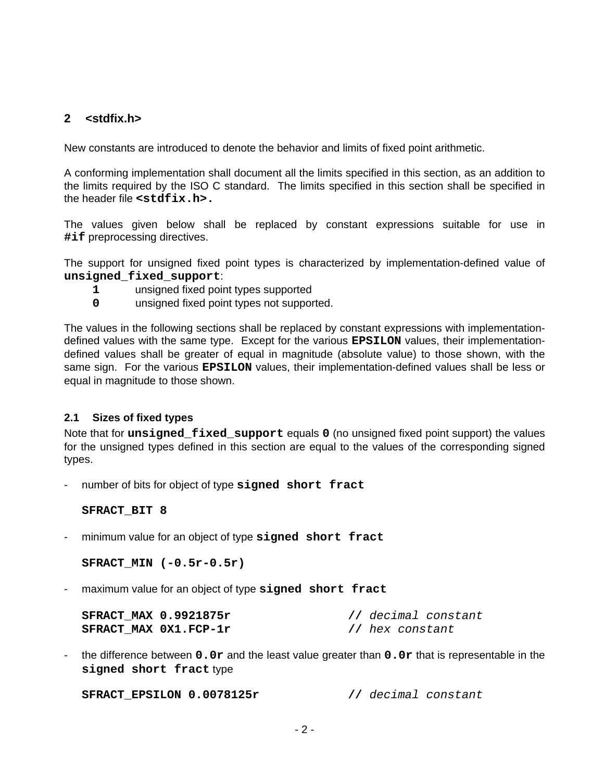# **2 <stdfix.h>**

New constants are introduced to denote the behavior and limits of fixed point arithmetic.

A conforming implementation shall document all the limits specified in this section, as an addition to the limits required by the ISO C standard. The limits specified in this section shall be specified in the header file **<stdfix.h>.**

The values given below shall be replaced by constant expressions suitable for use in **#if** preprocessing directives.

The support for unsigned fixed point types is characterized by implementation-defined value of **unsigned\_fixed\_support**:

- **1** unsigned fixed point types supported
- **0** unsigned fixed point types not supported.

The values in the following sections shall be replaced by constant expressions with implementationdefined values with the same type. Except for the various **EPSILON** values, their implementationdefined values shall be greater of equal in magnitude (absolute value) to those shown, with the same sign. For the various **EPSILON** values, their implementation-defined values shall be less or equal in magnitude to those shown.

## **2.1 Sizes of fixed types**

Note that for **unsigned\_fixed\_support** equals **0** (no unsigned fixed point support) the values for the unsigned types defined in this section are equal to the values of the corresponding signed types.

number of bits for object of type signed short fract

## **SFRACT\_BIT 8**

- minimum value for an object of type **signed short fract**

**SFRACT\_MIN (-0.5r-0.5r)**

maximum value for an object of type signed short fract

| SFRACT MAX 0.9921875r | // decimal constant |
|-----------------------|---------------------|
| SFRACT MAX 0X1.FCP-1r | // hex constant     |

- the difference between **0.0r** and the least value greater than **0.0r** that is representable in the **signed short fract** type

**SFRACT\_EPSILON 0.0078125r //** decimal constant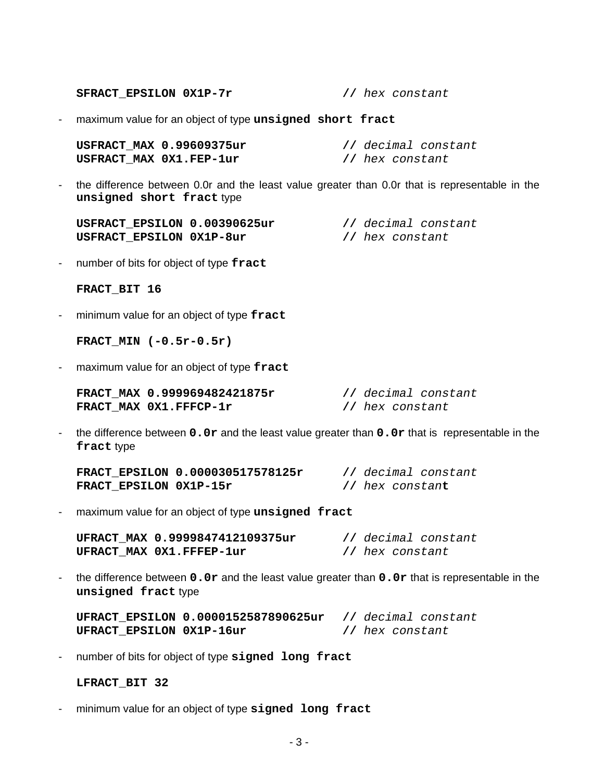**SFRACT\_EPSILON 0X1P-7r //** hex constant

- maximum value for an object of type **unsigned short fract**

| USFRACT MAX 0.99609375ur | // decimal constant |
|--------------------------|---------------------|
| USFRACT MAX 0X1.FEP-1ur  | // hex constant     |

- the difference between 0.0r and the least value greater than 0.0r that is representable in the **unsigned short fract** type

| USFRACT EPSILON 0.00390625ur |  |                 | // decimal constant |
|------------------------------|--|-----------------|---------------------|
| USFRACT EPSILON 0X1P-8ur     |  | // hex constant |                     |

- number of bits for object of type **fract**

#### **FRACT\_BIT 16**

- minimum value for an object of type **fract**

**FRACT\_MIN (-0.5r-0.5r)**

- maximum value for an object of type **fract**

| FRACT MAX 0.999969482421875r |                 | // decimal constant |
|------------------------------|-----------------|---------------------|
| FRACT MAX 0X1.FFFCP-1r       | // hex constant |                     |

- the difference between **0.0r** and the least value greater than **0.0r** that is representable in the **fract** type

|                        | FRACT EPSILON 0.000030517578125r |                         | // decimal constant |
|------------------------|----------------------------------|-------------------------|---------------------|
| FRACT EPSILON 0X1P-15r |                                  | // hex constan <b>t</b> |                     |

- maximum value for an object of type **unsigned fract**

| UFRACT MAX 0.9999847412109375ur | // decimal constant |
|---------------------------------|---------------------|
| UFRACT MAX 0X1.FFFEP-1ur        | // hex constant     |

- the difference between **0.0r** and the least value greater than **0.0r** that is representable in the **unsigned fract** type

**UFRACT\_EPSILON 0.0000152587890625ur //** decimal constant **UFRACT\_EPSILON 0X1P-16ur //** hex constant

- number of bits for object of type **signed long fract**

## **LFRACT\_BIT 32**

- minimum value for an object of type **signed long fract**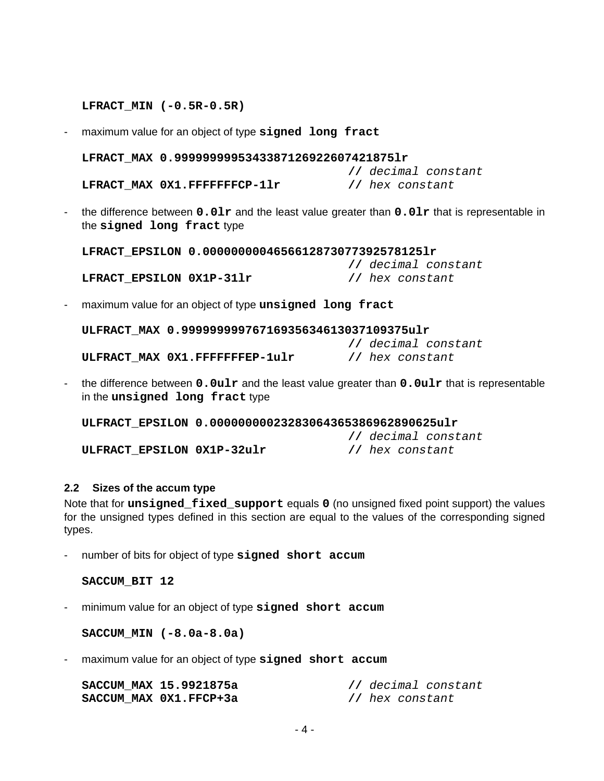### **LFRACT\_MIN (-0.5R-0.5R)**

- maximum value for an object of type **signed long fract**

**LFRACT\_MAX 0.9999999995343387126922607421875lr**

**//** decimal constant **LFRACT\_MAX 0X1.FFFFFFFCP-1lr //** hex constant

- 
- the difference between **0.0lr** and the least value greater than **0.0lr** that is representable in the **signed long fract** type

**LFRACT\_EPSILON 0.0000000004656612873077392578125lr**

**LFRACT\_EPSILON 0X1P-31lr //** hex constant

**//** decimal constant

**//** decimal constant

- maximum value for an object of type **unsigned long fract**

| ULFRACT MAX 0.99999999976716935634613037109375ulr |  |                 |                     |
|---------------------------------------------------|--|-----------------|---------------------|
|                                                   |  |                 | // decimal constant |
| ULFRACT MAX 0X1.FFFFFFFEP-1ulr                    |  | // hex constant |                     |

- the difference between **0.0ulr** and the least value greater than **0.0ulr** that is representable in the **unsigned long fract** type

**ULFRACT\_EPSILON 0.00000000023283064365386962890625ulr**

**ULFRACT\_EPSILON 0X1P-32ulr //** hex constant

## **2.2 Sizes of the accum type**

Note that for **unsigned\_fixed\_support** equals **0** (no unsigned fixed point support) the values for the unsigned types defined in this section are equal to the values of the corresponding signed types.

- number of bits for object of type **signed short accum**

**SACCUM\_BIT 12**

- minimum value for an object of type **signed short accum**

**SACCUM\_MIN (-8.0a-8.0a)**

- maximum value for an object of type **signed short accum**

| SACCUM MAX 15.9921875a | // decimal constant |
|------------------------|---------------------|
| SACCUM MAX 0X1.FFCP+3a | // hex constant     |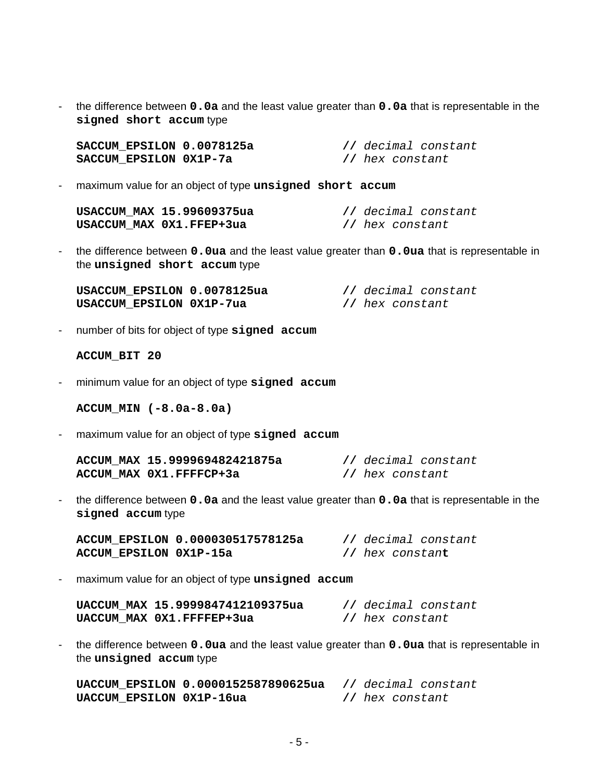- the difference between **0.0a** and the least value greater than **0.0a** that is representable in the **signed short accum** type

| SACCUM EPSILON 0.0078125a |  |                 | // decimal constant |
|---------------------------|--|-----------------|---------------------|
| SACCUM EPSILON 0X1P-7a    |  | // hex constant |                     |

- maximum value for an object of type **unsigned short accum**

| USACCUM MAX 15.99609375ua | // decimal constant |
|---------------------------|---------------------|
| USACCUM MAX 0X1.FFEP+3ua  | // hex constant     |

- the difference between **0.0ua** and the least value greater than **0.0ua** that is representable in the **unsigned short accum** type

| USACCUM EPSILON 0.0078125ua | // decimal constant |
|-----------------------------|---------------------|
| USACCUM EPSILON 0X1P-7ua    | // hex constant     |

- number of bits for object of type **signed accum**

```
ACCUM_BIT 20
```
- minimum value for an object of type **signed accum**

**ACCUM\_MIN (-8.0a-8.0a)**

- maximum value for an object of type **signed accum**

| ACCUM MAX 15.999969482421875a |                 | // decimal constant |
|-------------------------------|-----------------|---------------------|
| ACCUM MAX 0X1.FFFFCP+3a       | // hex constant |                     |

- the difference between **0.0a** and the least value greater than **0.0a** that is representable in the **signed accum** type

|                        | ACCUM EPSILON 0.000030517578125a |                         | // decimal constant |
|------------------------|----------------------------------|-------------------------|---------------------|
| ACCUM EPSILON 0X1P-15a |                                  | // hex constan <b>t</b> |                     |

- maximum value for an object of type **unsigned accum**

| UACCUM MAX 15.9999847412109375ua |                 | // decimal constant |
|----------------------------------|-----------------|---------------------|
| UACCUM MAX 0X1.FFFFEP+3ua        | // hex constant |                     |

- the difference between **0.0ua** and the least value greater than **0.0ua** that is representable in the **unsigned accum** type

**UACCUM\_EPSILON 0.0000152587890625ua //** decimal constant **UACCUM EPSILON 0X1P-16ua** // hex constant